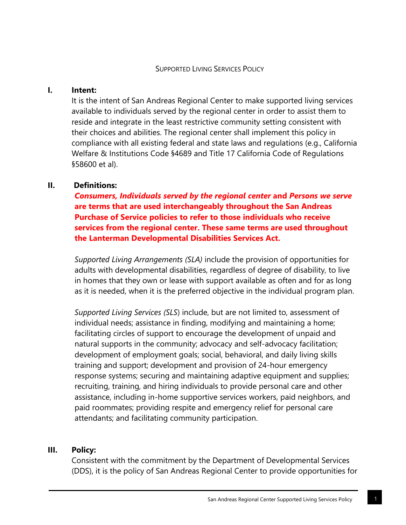## **I. Intent:**

It is the intent of San Andreas Regional Center to make supported living services available to individuals served by the regional center in order to assist them to reside and integrate in the least restrictive community setting consistent with their choices and abilities. The regional center shall implement this policy in compliance with all existing federal and state laws and regulations (e.g., California Welfare & Institutions Code §4689 and Title 17 California Code of Regulations §58600 et al).

# **II. Definitions:**

*Consumers, Individuals served by the regional center* **and** *Persons we serve* **are terms that are used interchangeably throughout the San Andreas Purchase of Service policies to refer to those individuals who receive services from the regional center. These same terms are used throughout the Lanterman Developmental Disabilities Services Act.**

*Supported Living Arrangements (SLA)* include the provision of opportunities for adults with developmental disabilities, regardless of degree of disability, to live in homes that they own or lease with support available as often and for as long as it is needed, when it is the preferred objective in the individual program plan.

*Supported Living Services (SLS*) include, but are not limited to, assessment of individual needs; assistance in finding, modifying and maintaining a home; facilitating circles of support to encourage the development of unpaid and natural supports in the community; advocacy and self-advocacy facilitation; development of employment goals; social, behavioral, and daily living skills training and support; development and provision of 24-hour emergency response systems; securing and maintaining adaptive equipment and supplies; recruiting, training, and hiring individuals to provide personal care and other assistance, including in-home supportive services workers, paid neighbors, and paid roommates; providing respite and emergency relief for personal care attendants; and facilitating community participation.

## **III. Policy:**

Consistent with the commitment by the Department of Developmental Services (DDS), it is the policy of San Andreas Regional Center to provide opportunities for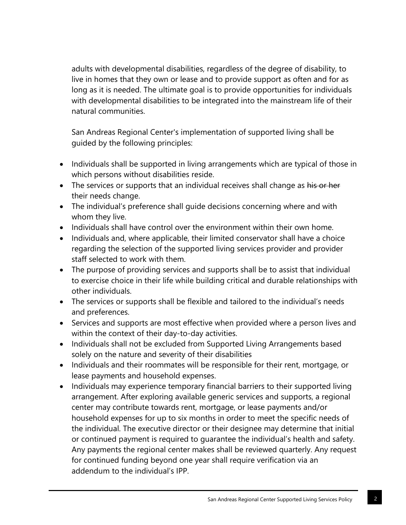adults with developmental disabilities, regardless of the degree of disability, to live in homes that they own or lease and to provide support as often and for as long as it is needed. The ultimate goal is to provide opportunities for individuals with developmental disabilities to be integrated into the mainstream life of their natural communities.

San Andreas Regional Center's implementation of supported living shall be guided by the following principles:

- Individuals shall be supported in living arrangements which are typical of those in which persons without disabilities reside.
- The services or supports that an individual receives shall change as his or her their needs change.
- The individual's preference shall guide decisions concerning where and with whom they live.
- Individuals shall have control over the environment within their own home.
- Individuals and, where applicable, their limited conservator shall have a choice regarding the selection of the supported living services provider and provider staff selected to work with them.
- The purpose of providing services and supports shall be to assist that individual to exercise choice in their life while building critical and durable relationships with other individuals.
- The services or supports shall be flexible and tailored to the individual's needs and preferences.
- Services and supports are most effective when provided where a person lives and within the context of their day-to-day activities.
- Individuals shall not be excluded from Supported Living Arrangements based solely on the nature and severity of their disabilities
- Individuals and their roommates will be responsible for their rent, mortgage, or lease payments and household expenses.
- Individuals may experience temporary financial barriers to their supported living arrangement. After exploring available generic services and supports, a regional center may contribute towards rent, mortgage, or lease payments and/or household expenses for up to six months in order to meet the specific needs of the individual. The executive director or their designee may determine that initial or continued payment is required to guarantee the individual's health and safety. Any payments the regional center makes shall be reviewed quarterly. Any request for continued funding beyond one year shall require verification via an addendum to the individual's IPP.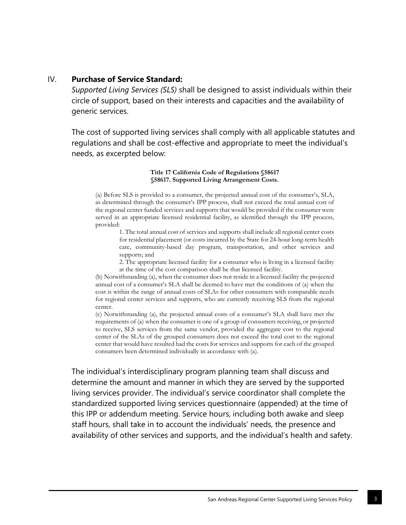### IV. **Purchase of Service Standard:**

*Supported Living Services (SLS)* shall be designed to assist individuals within their circle of support, based on their interests and capacities and the availability of generic services.

The cost of supported living services shall comply with all applicable statutes and regulations and shall be cost-effective and appropriate to meet the individual's needs, as excerpted below:

#### **Title 17 California Code of Regulations §58617 §58617. Supported Living Arrangement Costs.**

(a) Before SLS is provided to a consumer, the projected annual cost of the consumer's, SLA, as determined through the consumer's IPP process, shall not exceed the total annual cost of the regional center funded services and supports that would be provided if the consumer were served in an appropriate licensed residential facility, as identified through the IPP process, provided:

1. The total annual cost of services and supports shall include all regional center costs for residential placement (or costs incurred by the State for 24-hour long-term health care, community-based day program, transportation, and other services and supports; and

2. The appropriate licensed facility for a consumer who is living in a licensed facility at the time of the cost comparison shall be that licensed facility.

(b) Notwithstanding (a), when the consumer does not reside in a licensed facility the projected annual cost of a consumer's SLA shall be deemed to have met the conditions of (a) when the cost is within the range of annual costs of SLAs for other consumers with comparable needs for regional center services and supports, who are currently receiving SLS from the regional center.

(c) Notwithstanding (a), the projected annual costs of a consumer's SLA shall have met the requirements of (a) when the consumer is one of a group of consumers receiving, or projected to receive, SLS services from the same vendor, provided the aggregate cost to the regional center of the SLAs of the grouped consumers does not exceed the total cost to the regional center that would have resulted had the costs for services and supports for each of the grouped consumers been determined individually in accordance with (a).

The individual's interdisciplinary program planning team shall discuss and determine the amount and manner in which they are served by the supported living services provider. The individual's service coordinator shall complete the standardized supported living services questionnaire (appended) at the time of this IPP or addendum meeting. Service hours, including both awake and sleep staff hours, shall take in to account the individuals' needs, the presence and availability of other services and supports, and the individual's health and safety.